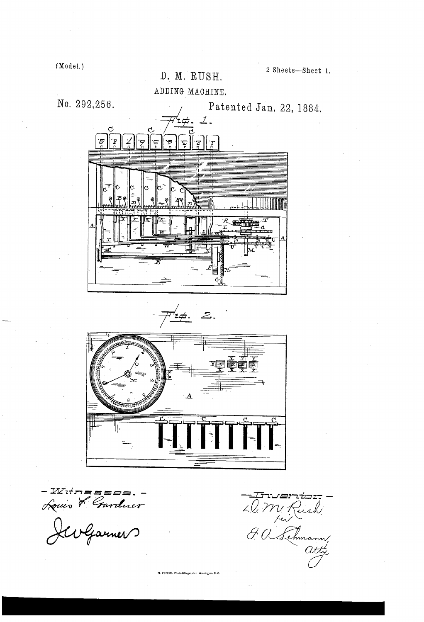$(Mode).$ 

2 Sheets-Sheet 1.

D. M. RUSH. ADDING MACHINE.

No. 292,256.

Patented Jan. 22, 1884.



 $\mathbb{F}'$ z $\#$ .  $\mathcal{Z}.$ 



- IVITRESSES. -<br>Louis & Gardner

Friences<br>D. M. Rush,<br>G. a. Lehmann,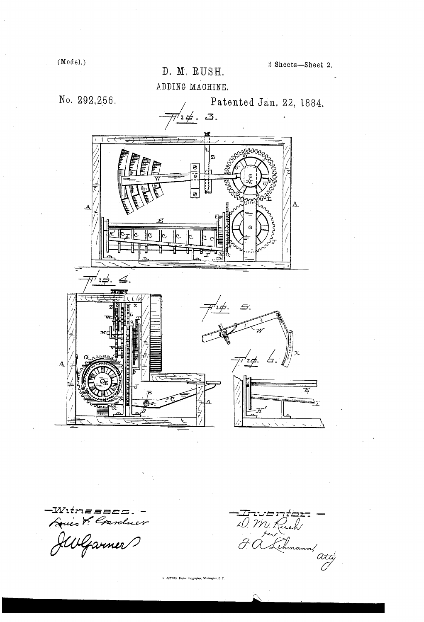D. M'. RUSH. ADDING MACHINE.



Wıtnesse. Quist! Conduer

 $\overline{\mathbf{A}}$ 

 $\frac{Tru}{\sqrt{2}}$ <br>  $\frac{1}{\sqrt{2}}$  M. Rush<br>  $\frac{1}{\sqrt{2}}$  C. Schmann,<br>  $\frac{1}{\sqrt{2}}$ 

. PETERS. Photo-Lithographer, Washington, D. C.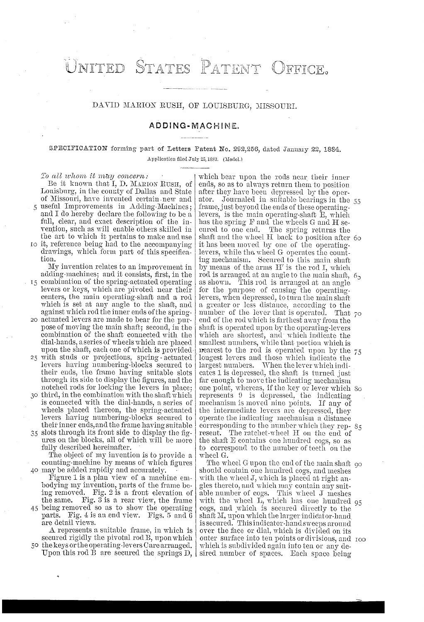#### PATENT NITED STATES <sup>)</sup>FFICE.

### DAVID MARION RUSH, OF LOUISBURG, MISSOURI.

### ADDING-MACHINE.

# SPECIFICATION forming part of Letters Patent No. 292,256, dated January 22, 1884. Application filed July 25, 1883. (Model.)

#### To all whom it may concern:

Be it known that l, D. MARION RUsH, of Lonisburg, in the county of Dallas and State of Missouri, have invented certain new and useful Improvements in Adding-Machines; and I do hereby declare the following to be a full, clear, and exact description of the in vention, such as will enable others skilled in the art to which it pertains to make and use

it, reference being had to the accompanying drawings, which form part of this specification.

My invention relates to an improvement in adding-machines; and it consists, first, in the

- 15 combination of the spring-actuated operating levers or keys, which are pivoted near their centers, the main operating-shaft and a rod which is set at any angle to the shaft, and against which rod the inner ends of the spring
- actuated levers are made to bear for the pur pose of moving the main shaft; second, in the combination of the shaft connected with the dial-hands, aseries of wheels which are placed upon the shaft, each one of which is provided
- with studs or projections, spring actuated 25 levers having numbering-blocks secured to their ends, the frame having suitable slots through its side to display the figures, and the notched rods for locking the levers in place;
- $\infty$  third, in the combination with the shaft which is connected with the dial-hands, a series of wheels placed thereon, the spring-actuated levers having numbering-blocks secured to their inner ends, and the frame having suitable
- 35 slots through its front side to display the figures on the blocks, all of which will be more fully described hereinafter.

.40 maybe added rapidly and accurately. The object of my invention is to provide a counting-machine by means of which figures

- Figure 1 is a plan view of a machine em bodying my invention, parts of the frame be ing removed. Fig. 2 is a front elevation of the same. Fig.  $3$  is a rear view, the frame
- being removed so as to show the operating parts. Fig.  $4$  is an end view. Figs.  $5$  and  $6$  are detail views.

A represents a suitable frame, in which is secured rigidly the pivotal rod  $\overline{B}$ , upon which 50 the keys or the operating-levers Care arranged.

Upon this rod B are secured the springs  $D, \, |$  sired number of spaces. Each space being

which bear upon the rods near their inner ends, so as to always return them to position after they have been depressed by the oper ator. Journaled in suitable hearings in the frame, just beyond the ends of these operating levers, is the main operating-shaft E, which has the spring F and the wheels G and H secured to one end. The spring returns the shaft and the wheel H back to position after 60 it has been moved by one of the operating levers, while the wheel G operates the count ing mechanism. Secured to this main shaft by means of the arms H' is the red I, which rod is arranged at an angle to the main shaft, as shown. This rod is arranged at an angle for the purpose of causing the operating levers, when depressed, to turn the main shaft a greater or less distance, according to the number of the lever that is operated. That 70 end of the rod which is farthest away from the shaft is operated upon by the operating-levers which are shortest, and' which indicate the smallest numbers, while that portion which is nearest to the rod is operated upon by the  $75$ longest levers and those which indicate the largest numbers. When the lever which indicates 1 is depressed, the shaft is turned just far enough to move the indicating mechanism one point, whereas, if the key or lever which represents 9 is depressed, the indicating mechanism is moved nine points. If any of the intermediate levers are depressed, they operate the indicating mechanism a distance corresponding to the number which they  $rep_{2}$  85 resent. The ratchet-wheel H on the end of the shaft E contains one hundred cogs, so as to correspond to the number of teeth on the wheel G.

The wheel G upon the end of the main shaft 90 should contain one hundred cogs, and meshes with the wheel J, which is placed at right angles thereto, and which may contain any suit able number of cogs. This wheel J meshes with the wheel L, which has one hundred cogs, and which is secured. directly to the shaft M, upon which the larger indicator-hand over the face or dial, which is divided on its outer surface into ten points or divisions, and which is subdivided again into ten or any de-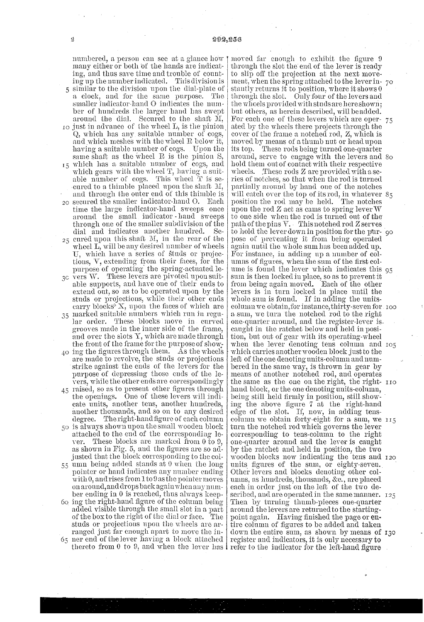IO just in advance of the wheel L, is the pinion  $40$  ing the figures through them. As the wheels numbered, a person can see at a glance how many either or both of the hands are indicating, and thus save time and trouble of count ing up the number indicated. This division is similar to the division upon the dial-plate of a clock, and for the same purpose. The smaller indicator-hand O indicates the number of hundreds the larger hand has swept around the dial. Secured to the shaft M, Q, which has any suitable number of cogs, and which meshes with the wheel R below it, having a suitable number of cogs. Upon the same shaft as the wheel R is the pinion S, which has a suitable number of cogs, and which gears with the wheel T, having a suitable number of cogs. This wheel  $T$  is secured to a thimble placed upon the shaft M, and through the outer end of this thimble is secured the smaller indicator-hand 0. Each time the large indicator-hand sweeps once around the small indicator - hand sweeps through one of the smaller subdivision of the dial and indicates another hundred. Se 25 cured upon this shaft M, in the rear of the wheel L, will be any desired number of wheels U, which have a series of studs or projec tions, V, extending from their faces, for the  $p_{\rm gc}$  vers W. These levers are pivoted upon suitable supports, and have one of their ends to extend out, so as to be operated upon by the studs or projections, while their other ends carry blocks" X, upon the faces of which are 35 marked suitable numbers which run in regular order. These blocks move in curved grooves made in the inner side of the frame, and over the slots Y, which are made through the front of the frame for the purpose of show. are made to revolve, the studs or projections strike against the ends of the levers for the purpose of depressing those ends of the le vers, while the other ends are correspondingly raised, so as to present other figures through the openings. One of these levers will indi-

50 is always shown upon the small wooden block 60 ing the right-hand figure of the column being cate units, another tens, another hundreds, another thousands, and so on to any desired<br>degree. The right-hand figure of each column The right-hand figure of each column attached to the end of the corresponding 1e ver. These blocks are marked from 0 to 9, as shown in Fig. 5, and the figures are so  $ad$ justed that the block corresponding to the col- $55$  umn being added stands at 0 when the long pointer or hand indicates any number ending with 0, and rises from 1 to 9 as the pointer moves on around, and drops back again when any number ending in 0 is reached, thus always keep added visible through the small slot in a part of the box to the right of the dial or face. The studs or projections upon the wheels are ar ranged just far enough apart to move the in-<br>65 ner end of the lever having a block attached

thereto from 0 to 9, and when the lever has I refer to the indicator for the left-hand figure moved far enough to exhibit the figure 9 through the slot the end of the lever is ready to slip off the projection at the next move ment, when the spring attached to the lever in stantly returns it to position, where it shows  $0$ through the slot. Only four of the levers and the wheels provided with studs are here shown; but others, as herein described, will be added. For each one of these levers which are oper ated by the wheels there projects through the cover of the frame a notched rod, Z, which is moved by means of a thumb nut or head upon<br>its top. These rods being turned one-quarter These rods being turned one-quarter around, serve to engage with the levers and hold them out of contact with their respective wheels. These rods  $Z$  are provided with a series of notches, so that when the rod is turned partially around by hand one of the notches will catch over the top of its rod, in whatever  $85$ position the rod may be held. The notches upon the rod  $Z$  act as cams to spring lever  $W$ to one side when the rod is turned out of the path of the pins V. This notched rod Z serves to hold the lever down in position for the pur- 90 pose of preventing it from being operated again until the whole sum has been added up. umns of figures, when the sum of the first colume is found the lever which indicates this 95 sum is then locked in place, so as to prevent it from being again moved. Each of the other levers is in turn locked in place until the whole sum is found. If in adding the unitscolumn we obtain,for instance, thirty-seven for I00 a sum, we turn the notched rod to the right one-quarter around, and the register-lever is caught in the ratchet below and held in posi tion, but out of gear with its operating-wheel when the lever denoting tens column and which carries another wooden block just to the left of the one denoting units-column and numbered in the same way, is thrown in gear by means of another notched rod, and operates the same as the one on the right, the right-  $\overline{\phantom{a}}$   $\overline{\phantom{a}}$ hand block, or the one denoting units-column, being still held firmly in position, still showing the above figure 7 at the right-hand edge of the slot. It, now, in adding tens column we obtain forty-eight for a sum, we turn the notched rod which governs the lever corresponding to tens-column to the right one-quarter around and the lever is caught by the ratchet and held in position, the two wooden blocks now indicating the tens and units figures of the sum, or eighty-seven. Other levers and blocks denoting other col umns, as hundreds, thousands, &c., are placed each in order just on the left of the two described, and are operated in the same manner.  $125$ Then by turning thumb-pieces one-quarter around the levers are returned to the starting point again. Having finished the page or entire column of figures to be added and taken down the entire sum, as shown by means of register and indicators, it is only necessary to